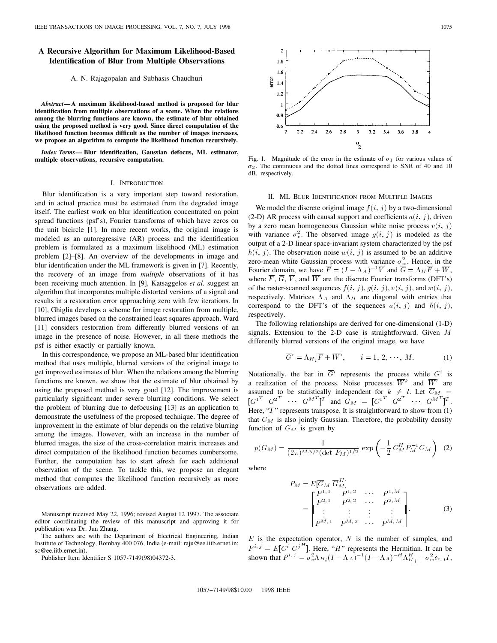# **A Recursive Algorithm for Maximum Likelihood-Based Identification of Blur from Multiple Observations**

## A. N. Rajagopalan and Subhasis Chaudhuri

*Abstract—***A maximum likelihood-based method is proposed for blur identification from multiple observations of a scene. When the relations among the blurring functions are known, the estimate of blur obtained using the proposed method is very good. Since direct computation of the likelihood function becomes difficult as the number of images increases, we propose an algorithm to compute the likelihood function recursively.**

*Index Terms—* **Blur identification, Gaussian defocus, ML estimator, multiple observations, recursive computation.**

### I. INTRODUCTION

Blur identification is a very important step toward restoration, and in actual practice must be estimated from the degraded image itself. The earliest work on blur identification concentrated on point spread functions (psf's), Fourier transforms of which have zeros on the unit bicircle [1]. In more recent works, the original image is modeled as an autoregressive (AR) process and the identification problem is formulated as a maximum likelihood (ML) estimation problem [2]–[8]. An overview of the developments in image and blur identification under the ML framework is given in [7]. Recently, the recovery of an image from *multiple* observations of it has been receiving much attention. In [9], Katsaggelos *et al.* suggest an algorithm that incorporates multiple distorted versions of a signal and results in a restoration error approaching zero with few iterations. In [10], Ghiglia develops a scheme for image restoration from multiple, blurred images based on the constrained least squares approach. Ward [11] considers restoration from differently blurred versions of an image in the presence of noise. However, in all these methods the psf is either exactly or partially known.

In this correspondence, we propose an ML-based blur identification method that uses multiple, blurred versions of the original image to get improved estimates of blur. When the relations among the blurring functions are known, we show that the estimate of blur obtained by using the proposed method is very good [12]. The improvement is particularly significant under severe blurring conditions. We select the problem of blurring due to defocusing [13] as an application to demonstrate the usefulness of the proposed technique. The degree of improvement in the estimate of blur depends on the relative blurring among the images. However, with an increase in the number of blurred images, the size of the cross-correlation matrix increases and direct computation of the likelihood function becomes cumbersome. Further, the computation has to start afresh for each additional observation of the scene. To tackle this, we propose an elegant method that computes the likelihood function recursively as more observations are added.

Manuscript received May 22, 1996; revised August 12 1997. The associate editor coordinating the review of this manuscript and approving it for publication was Dr. Jun Zhang.

The authors are with the Department of Electrical Engineering, Indian Institute of Technology, Bombay 400 076, India (e-mail: raju@ee.iitb.ernet.in; sc@ee.iitb.ernet.in).

Publisher Item Identifier S 1057-7149(98)04372-3.

 $\overline{a}$  $1.8$  $1.6$ error  $1.4$  $1.2$  $0,$  $0.1$  $\overline{2}$  $2.2$ 2.4  $2.6$ 2.8 3  $3.2$  $3.4$  $3.6$ 3.8  $\overline{4}$  $\frac{0}{2}$ 

Fig. 1. Magnitude of the error in the estimate of  $\sigma_1$  for various values of  $\sigma_2$ . The continuous and the dotted lines correspond to SNR of 40 and 10 dB, respectively.

## II. ML BLUR IDENTIFICATION FROM MULTIPLE IMAGES

We model the discrete original image  $f(i, j)$  by a two-dimensional (2-D) AR process with causal support and coefficients  $a(i, j)$ , driven by a zero mean homogeneous Gaussian white noise process  $v(i, j)$ with variance  $\sigma_v^2$ . The observed image  $g(i, j)$  is modeled as the output of a 2-D linear space-invariant system characterized by the psf  $h(i, j)$ . The observation noise  $w(i, j)$  is assumed to be an additive zero-mean white Gaussian process with variance  $\sigma_w^2$ . Hence, in the Fourier domain, we have  $\overline{\vec{F}} = (I - \Lambda_A)^{-1} \overline{V}$  and  $\overline{\vec{G}} = \Lambda_H \overline{F} + \overline{W}$ , where  $\overline{F}$ ,  $\overline{G}$ ,  $\overline{V}$ , and  $\overline{W}$  are the discrete Fourier transforms (DFT's) of the raster-scanned sequences  $f(i, j), g(i, j), v(i, j)$ , and  $w(i, j)$ , respectively. Matrices  $\Lambda_A$  and  $\Lambda_H$  are diagonal with entries that correspond to the DFT's of the sequences  $a(i, j)$  and  $h(i, j)$ , respectively.

The following relationships are derived for one-dimensional (1-D) signals. Extension to the 2-D case is straightforward. Given M differently blurred versions of the original image, we have

$$
\overline{G}^i = \Lambda_{H_i} \overline{F} + \overline{W}^i, \qquad i = 1, 2, \cdots, M. \tag{1}
$$

Notationally, the bar in  $\overline{G}^i$  represents the process while  $G^i$  is a realization of the process. Noise processes  $\overline{W}^k$  and  $\overline{W}^l$  are assumed to be statistically independent for  $k \neq l$ . Let  $G_M$  =  $\begin{bmatrix} \overline{G}^{1^T} & \overline{G}^{2^T} & \cdots & \overline{G}^{M^T} \end{bmatrix}^T$  and  $G_M = \begin{bmatrix} {G^1}^T & {G^2}^T & \cdots & {G^M}^T \end{bmatrix}^T$ . Here, "T" represents transpose. It is straightforward to show from (1) that  $\overline{G}_M$  is also jointly Gaussian. Therefore, the probability density function of  $\overline{G}_M$  is given by

$$
p(G_M) = \frac{1}{(2\pi)^{MN/2} (\det P_M)^{1/2}} \exp\left(-\frac{1}{2} G_M^H P_M^{-1} G_M\right) (2)
$$

where

$$
P_{M} = E[\overline{G}_{M} \ \overline{G}_{M}^{H}]
$$
\n
$$
= \begin{bmatrix} P^{1,1} & P^{1,2} & \cdots & P^{1,M} \\ P^{2,1} & P^{2,2} & \cdots & P^{2,M} \\ \vdots & \vdots & \vdots & \vdots \\ P^{M,1} & P^{M,2} & \cdots & P^{M,M} \end{bmatrix} .
$$
\n(3)

 $E$  is the expectation operator,  $N$  is the number of samples, and  $P^{i, j} = E[\overline{G}^i \ \overline{G}^{jH}]$ . Here, "H" represents the Hermitian. It can be shown that  $P^{i, j} = \sigma_v^2 \Lambda_{H_i} (I - \Lambda_A)^{-1} (I - \Lambda_A)^{-H} \Lambda_{H_i}^H + \sigma_w^2 \delta_{i, j} I$ ,

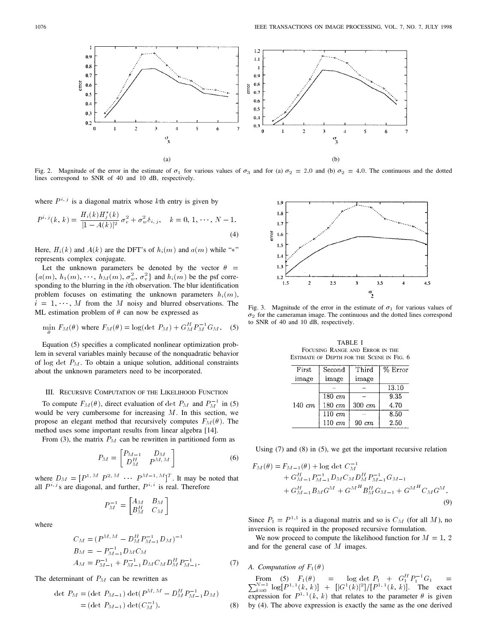

Fig. 2. Magnitude of the error in the estimate of  $\sigma_1$  for various values of  $\sigma_3$  and for (a)  $\sigma_2 = 2.0$  and (b)  $\sigma_2 = 4.0$ . The continuous and the dotted lines correspond to SNR of 40 and 10 dB, respectively.

where  $P^{i,j}$  is a diagonal matrix whose kth entry is given by

$$
P^{i,j}(k, k) = \frac{H_i(k)H_j^*(k)}{|1 - A(k)|^2} \sigma_v^2 + \sigma_w^2 \delta_{i,j}, \quad k = 0, 1, \dots, N - 1.
$$
\n(4)

Here,  $H_i(k)$  and  $A(k)$  are the DFT's of  $h_i(m)$  and  $a(m)$  while "\*" represents complex conjugate.

Let the unknown parameters be denoted by the vector  $\theta =$  ${a(m), h_1(m), \dots, h_M(m), \sigma_w^2, \sigma_v^2}$  and  $h_i(m)$  be the psf corresponding to the blurring in the ith observation. The blur identification problem focuses on estimating the unknown parameters  $h_i(m)$ ,  $i = 1, \dots, M$  from the M noisy and blurred observations. The ML estimation problem of  $\theta$  can now be expressed as

$$
\min_{\theta} F_M(\theta) \text{ where } F_M(\theta) = \log(\det P_M) + G_M^H P_M^{-1} G_M. \quad (5)
$$

Equation (5) specifies a complicated nonlinear optimization problem in several variables mainly because of the nonquadratic behavior of log det  $P_M$ . To obtain a unique solution, additional constraints about the unknown parameters need to be incorporated.

## III. RECURSIVE COMPUTATION OF THE LIKELIHOOD FUNCTION

To compute  $F_M(\theta)$ , direct evaluation of det  $P_M$  and  $P_M^{-1}$  in (5) would be very cumbersome for increasing  $M$ . In this section, we propose an elegant method that recursively computes  $F_M(\theta)$ . The method uses some important results from linear algebra [14].

From (3), the matrix  $P_M$  can be rewritten in partitioned form as

$$
P_M = \begin{bmatrix} P_{M-1} & D_M \\ D_M^H & P^{M,M} \end{bmatrix} \tag{6}
$$

where  $D_M = [P^{1,M} P^{2,M} \cdots P^{M-1,M}]^T$ . It may be noted that all  $P^{i, j}$ s are diagonal, and further,  $P^{i, i}$  is real. Therefore

$$
P_M^{-1} = \begin{bmatrix} A_M & B_M \\ B_M^H & C_M \end{bmatrix}
$$

where

$$
C_M = (P^{M,M} - D_M^H P_{M-1}^{-1} D_M)^{-1}
$$
  
\n
$$
B_M = - P_{M-1}^{-1} D_M C_M
$$
  
\n
$$
A_M = P_{M-1}^{-1} + P_{M-1}^{-1} D_M C_M D_M^H P_{M-1}^{-1}.
$$
\n(7)

The determinant of  $P_M$  can be rewritten as

det 
$$
P_M
$$
 = (det  $P_{M-1}$ ) det $(P^{M,M} - D_M^H P_{M-1}^{-1} D_M)$   
 = (det  $P_{M-1}$ ) det $(C_M^{-1})$ . (8)



Fig. 3. Magnitude of the error in the estimate of  $\sigma_1$  for various values of  $\sigma_2$  for the cameraman image. The continuous and the dotted lines correspond to SNR of 40 and 10 dB, respectively.

TABLE I FOCUSING RANGE AND ERROR IN THE ESTIMATE OF DEPTH FOR THE SCENE IN FIG. 6

| First.      | Second             | Third      | % Error |
|-------------|--------------------|------------|---------|
| image       | image              | image      |         |
| $140 \; cm$ |                    |            | 13.10   |
|             | $180 \; cm$        |            | 9.35    |
|             | $180 \; cm$        | $300\ cm$  | 4.70    |
|             | $110 \, \text{cm}$ |            | 8.50    |
|             | $110 \; cm$        | $90 \; cm$ | 2.50    |

Using (7) and (8) in (5), we get the important recursive relation

$$
F_M(\theta) = F_{M-1}(\theta) + \log \det C_M^{-1}
$$
  
+  $G_{M-1}^H P_{M-1}^{-1} D_M C_M D_M^H P_{M-1}^{-1} G_{M-1}$   
+  $G_{M-1}^H B_M G^M + G^{M^H} B_M^H G_{M-1} + G^{M^H} C_M G^M.$   
(9)

Since  $P_1 = P^{1,1}$  is a diagonal matrix and so is  $C_M$  (for all M), no inversion is required in the proposed recursive formulation.

We now proceed to compute the likelihood function for  $M = 1, 2$ and for the general case of M images.

# *A. Computation of*  $F_1(\theta)$

From (5)  $F_1(\theta)$  = log det  $P_1 + G_1^H P_1^{-1} G_1$  =<br>  $\frac{N-1}{k=0} \log[P^{1,1}(k, k)] + [|G^1(k)|^2]/[P^{1,1}(k, k)]$ . The exact expression for  $P^{1,1}(k, k)$  that relates to the parameter  $\theta$  is given by (4). The above expression is exactly the same as the one derived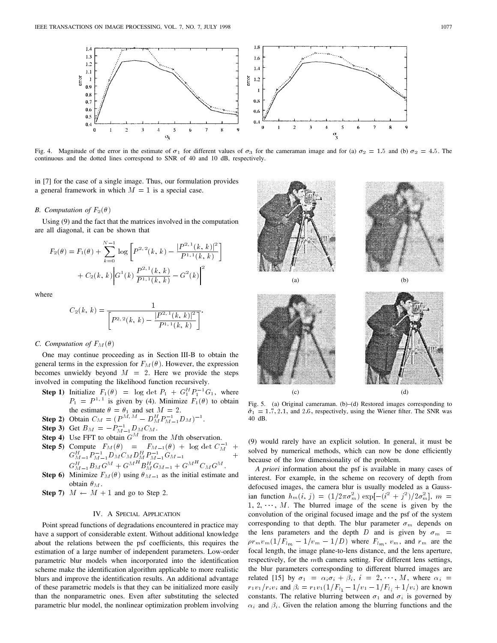

Fig. 4. Magnitude of the error in the estimate of  $\sigma_1$  for different values of  $\sigma_3$  for the cameraman image and for (a)  $\sigma_2 = 1.5$  and (b)  $\sigma_2 = 4.5$ . The continuous and the dotted lines correspond to SNR of 40 and 10 dB, respectively.

in [7] for the case of a single image. Thus, our formulation provides a general framework in which  $M = 1$  is a special case.

## *B. Computation of*  $F_2(\theta)$

Using (9) and the fact that the matrices involved in the computation are all diagonal, it can be shown that

$$
F_2(\theta) = F_1(\theta) + \sum_{k=0}^{N-1} \log \left[ P^{2,2}(k, k) - \frac{|P^{2,1}(k, k)|^2}{P^{1,1}(k, k)} \right] + C_2(k, k) \Big| G^1(k) \frac{P^{2,1}(k, k)}{P^{1,1}(k, k)} - G^2(k) \Big|^2
$$

where

$$
C_2(k, k) = \frac{1}{\left[P^{2,2}(k, k) - \frac{|P^{2,1}(k, k)|^2}{P^{1,1}(k, k)}\right]}.
$$

## *C. Computation of*  $F_M(\theta)$

One may continue proceeding as in Section III-B to obtain the general terms in the expression for  $F_M(\theta)$ . However, the expression becomes unwieldy beyond  $M = 2$ . Here we provide the steps involved in computing the likelihood function recursively.

- **Step 1)** Initialize  $F_1(\theta) = \log \det P_1 + G_1^H P_1^{-1} G_1$ , where  $P_1 = P^{1,1}$  is given by (4). Minimize  $F_1(\theta)$  to obtain the estimate  $\theta = \theta_1$  and set  $M = 2$ .
- **Step 2)** Obtain  $C_M = (P^{\tilde{M}, M} D_M^H P_{M-1}^{-1} D_M)^{-1}$ .
- **Step 3)** Get  $B_M = -P_{M-1}^{-1}D_M C_M$ .
- **Step 4)** Use FFT to obtain  $G^M$  from the Mth observation.
- **Step 5)** Compute  $F_M(\theta) = F_{M-1}(\theta) + \log \det C_M^{-1} +$  $G_{M-1}^H P_{M-1}^{-1} D_M C_M D_M^H P_{M-1}^{-1} G_{M-1}$  +  $G_{M-1}^H B_M G^M + G^{M^H} B_M^H G_{M-1} + G^{M^H} C_M G^M.$
- **Step 6)** Minimize  $F_M(\theta)$  using  $\theta_{M-1}$  as the initial estimate and obtain  $\theta_M$ .
- **Step 7)**  $M \leftarrow M + 1$  and go to Step 2.

### IV. A SPECIAL APPLICATION

Point spread functions of degradations encountered in practice may have a support of considerable extent. Without additional knowledge about the relations between the psf coefficients, this requires the estimation of a large number of independent parameters. Low-order parametric blur models when incorporated into the identification scheme make the identification algorithm applicable to more realistic blurs and improve the identification results. An additional advantage of these parametric models is that they can be initialized more easily than the nonparametric ones. Even after substituting the selected parametric blur model, the nonlinear optimization problem involving





Fig. 5. (a) Original cameraman. (b)–(d) Restored images corresponding to  $\hat{\sigma}_1 = 1.7, 2.1$ , and 2.6, respectively, using the Wiener filter. The SNR was 40 dB.

(9) would rarely have an explicit solution. In general, it must be solved by numerical methods, which can now be done efficiently because of the low dimensionality of the problem.

*A priori* information about the psf is available in many cases of interest. For example, in the scheme on recovery of depth from defocused images, the camera blur is usually modeled as a Gaussian function  $h_m(i, j) = (1/2\pi\sigma_m^2) \exp[-(i^2 + j^2)/2\sigma_m^2]$ ,  $m =$  $1, 2, \dots, M$ . The blurred image of the scene is given by the convolution of the original focused image and the psf of the system corresponding to that depth. The blur parameter  $\sigma_m$  depends on the lens parameters and the depth D and is given by  $\sigma_m$  =  $\rho r_m v_m (1/F_{lm} - 1/v_m - 1/D)$  where  $F_{lm}$ ,  $v_m$ , and  $r_m$  are the focal length, the image plane-to-lens distance, and the lens aperture, respectively, for the  $m$ th camera setting. For different lens settings, the blur parameters corresponding to different blurred images are related [15] by  $\sigma_1 = \alpha_i \sigma_i + \beta_i$ ,  $i = 2, \dots, M$ , where  $\alpha_i =$ r<sub>1</sub>v<sub>1</sub>/r<sub>i</sub>v<sub>i</sub> and  $\beta_i = r_1v_1(1/F_{l_1}-1/v_1-1/F_{l_i}+1/v_i)$  are known constants. The relative blurring between  $\sigma_1$  and  $\sigma_i$  is governed by  $\alpha_i$  and  $\beta_i$ . Given the relation among the blurring functions and the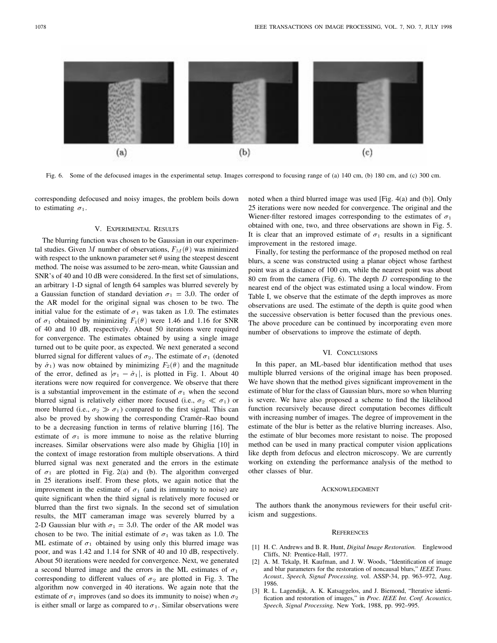

Fig. 6. Some of the defocused images in the experimental setup. Images correspond to focusing range of (a) 140 cm, (b) 180 cm, and (c) 300 cm.

corresponding defocused and noisy images, the problem boils down to estimating  $\sigma_1$ .

#### V. EXPERIMENTAL RESULTS

The blurring function was chosen to be Gaussian in our experimental studies. Given M number of observations,  $F_M(\theta)$  was minimized with respect to the unknown parameter set  $\theta$  using the steepest descent method. The noise was assumed to be zero-mean, white Gaussian and SNR's of 40 and 10 dB were considered. In the first set of simulations, an arbitrary 1-D signal of length 64 samples was blurred severely by a Gaussian function of standard deviation  $\sigma_1 = 3.0$ . The order of the AR model for the original signal was chosen to be two. The initial value for the estimate of  $\sigma_1$  was taken as 1.0. The estimates of  $\sigma_1$  obtained by minimizing  $F_1(\theta)$  were 1.46 and 1.16 for SNR of 40 and 10 dB, respectively. About 50 iterations were required for convergence. The estimates obtained by using a single image turned out to be quite poor, as expected. We next generated a second blurred signal for different values of  $\sigma_2$ . The estimate of  $\sigma_1$  (denoted by  $\hat{\sigma}_1$ ) was now obtained by minimizing  $F_2(\theta)$  and the magnitude of the error, defined as  $|\sigma_1 - \hat{\sigma}_1|$ , is plotted in Fig. 1. About 40 iterations were now required for convergence. We observe that there is a substantial improvement in the estimate of  $\sigma_1$  when the second blurred signal is relatively either more focused (i.e.,  $\sigma_2 \ll \sigma_1$ ) or more blurred (i.e.,  $\sigma_2 \gg \sigma_1$ ) compared to the first signal. This can also be proved by showing the corresponding Cramér–Rao bound to be a decreasing function in terms of relative blurring [16]. The estimate of  $\sigma_1$  is more immune to noise as the relative blurring increases. Similar observations were also made by Ghiglia [10] in the context of image restoration from multiple observations. A third blurred signal was next generated and the errors in the estimate of  $\sigma_1$  are plotted in Fig. 2(a) and (b). The algorithm converged in 25 iterations itself. From these plots, we again notice that the improvement in the estimate of  $\sigma_1$  (and its immunity to noise) are quite significant when the third signal is relatively more focused or blurred than the first two signals. In the second set of simulation results, the MIT cameraman image was severely blurred by a 2-D Gaussian blur with  $\sigma_1 = 3.0$ . The order of the AR model was chosen to be two. The initial estimate of  $\sigma_1$  was taken as 1.0. The ML estimate of  $\sigma_1$  obtained by using only this blurred image was poor, and was 1.42 and 1.14 for SNR of 40 and 10 dB, respectively. About 50 iterations were needed for convergence. Next, we generated a second blurred image and the errors in the ML estimates of  $\sigma_1$ corresponding to different values of  $\sigma_2$  are plotted in Fig. 3. The algorithm now converged in 40 iterations. We again note that the estimate of  $\sigma_1$  improves (and so does its immunity to noise) when  $\sigma_2$ is either small or large as compared to  $\sigma_1$ . Similar observations were

noted when a third blurred image was used [Fig. 4(a) and (b)]. Only 25 iterations were now needed for convergence. The original and the Wiener-filter restored images corresponding to the estimates of  $\sigma_1$ obtained with one, two, and three observations are shown in Fig. 5. It is clear that an improved estimate of  $\sigma_1$  results in a significant improvement in the restored image.

Finally, for testing the performance of the proposed method on real blurs, a scene was constructed using a planar object whose farthest point was at a distance of 100 cm, while the nearest point was about 80 cm from the camera (Fig. 6). The depth  $D$  corresponding to the nearest end of the object was estimated using a local window. From Table I, we observe that the estimate of the depth improves as more observations are used. The estimate of the depth is quite good when the successive observation is better focused than the previous ones. The above procedure can be continued by incorporating even more number of observations to improve the estimate of depth.

# VI. CONCLUSIONS

In this paper, an ML-based blur identification method that uses multiple blurred versions of the original image has been proposed. We have shown that the method gives significant improvement in the estimate of blur for the class of Gaussian blurs, more so when blurring is severe. We have also proposed a scheme to find the likelihood function recursively because direct computation becomes difficult with increasing number of images. The degree of improvement in the estimate of the blur is better as the relative blurring increases. Also, the estimate of blur becomes more resistant to noise. The proposed method can be used in many practical computer vision applications like depth from defocus and electron microscopy. We are currently working on extending the performance analysis of the method to other classes of blur.

#### **ACKNOWLEDGMENT**

The authors thank the anonymous reviewers for their useful criticism and suggestions.

#### **REFERENCES**

- [1] H. C. Andrews and B. R. Hunt, *Digital Image Restoration.* Englewood Cliffs, NJ: Prentice-Hall, 1977.
- [2] A. M. Tekalp, H. Kaufman, and J. W. Woods, "Identification of image and blur parameters for the restoration of noncausal blurs," *IEEE Trans. Acoust., Speech, Signal Processing,* vol. ASSP-34, pp. 963–972, Aug. 1986.
- [3] R. L. Lagendijk, A. K. Katsaggelos, and J. Biemond, "Iterative identification and restoration of images," in *Proc. IEEE Int. Conf. Acoustics, Speech, Signal Processing,* New York, 1988, pp. 992–995.